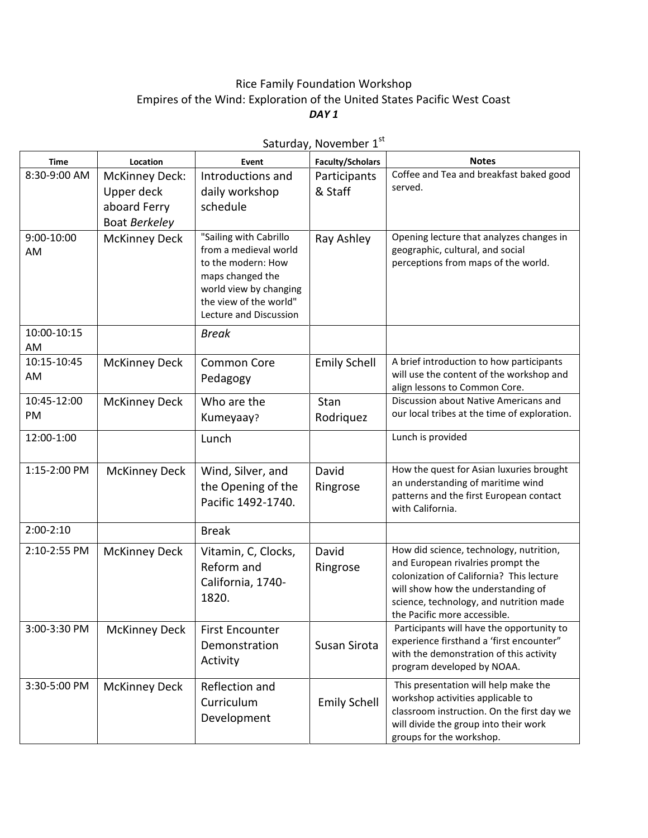## Rice Family Foundation Workshop Empires of the Wind: Exploration of the United States Pacific West Coast *DAY 1*

| Time                     | Location                                                             | Event                                                                                                                                                                   | <b>Faculty/Scholars</b> | <b>Notes</b>                                                                                                                                                                                                                              |
|--------------------------|----------------------------------------------------------------------|-------------------------------------------------------------------------------------------------------------------------------------------------------------------------|-------------------------|-------------------------------------------------------------------------------------------------------------------------------------------------------------------------------------------------------------------------------------------|
| 8:30-9:00 AM             | <b>McKinney Deck:</b><br>Upper deck<br>aboard Ferry<br>Boat Berkeley | Introductions and<br>daily workshop<br>schedule                                                                                                                         | Participants<br>& Staff | Coffee and Tea and breakfast baked good<br>served.                                                                                                                                                                                        |
| 9:00-10:00<br>AM         | <b>McKinney Deck</b>                                                 | "Sailing with Cabrillo<br>from a medieval world<br>to the modern: How<br>maps changed the<br>world view by changing<br>the view of the world"<br>Lecture and Discussion | Ray Ashley              | Opening lecture that analyzes changes in<br>geographic, cultural, and social<br>perceptions from maps of the world.                                                                                                                       |
| 10:00-10:15<br>AM        |                                                                      | <b>Break</b>                                                                                                                                                            |                         |                                                                                                                                                                                                                                           |
| 10:15-10:45<br>AM        | <b>McKinney Deck</b>                                                 | <b>Common Core</b><br>Pedagogy                                                                                                                                          | <b>Emily Schell</b>     | A brief introduction to how participants<br>will use the content of the workshop and<br>align lessons to Common Core.                                                                                                                     |
| 10:45-12:00<br><b>PM</b> | <b>McKinney Deck</b>                                                 | Who are the<br>Kumeyaay?                                                                                                                                                | Stan<br>Rodriguez       | Discussion about Native Americans and<br>our local tribes at the time of exploration.                                                                                                                                                     |
| 12:00-1:00               |                                                                      | Lunch                                                                                                                                                                   |                         | Lunch is provided                                                                                                                                                                                                                         |
| 1:15-2:00 PM             | <b>McKinney Deck</b>                                                 | Wind, Silver, and<br>the Opening of the<br>Pacific 1492-1740.                                                                                                           | David<br>Ringrose       | How the quest for Asian luxuries brought<br>an understanding of maritime wind<br>patterns and the first European contact<br>with California.                                                                                              |
| $2:00-2:10$              |                                                                      | <b>Break</b>                                                                                                                                                            |                         |                                                                                                                                                                                                                                           |
| 2:10-2:55 PM             | <b>McKinney Deck</b>                                                 | Vitamin, C, Clocks,<br>Reform and<br>California, 1740-<br>1820.                                                                                                         | David<br>Ringrose       | How did science, technology, nutrition,<br>and European rivalries prompt the<br>colonization of California? This lecture<br>will show how the understanding of<br>science, technology, and nutrition made<br>the Pacific more accessible. |
| 3:00-3:30 PM             | <b>McKinney Deck</b>                                                 | <b>First Encounter</b><br>Demonstration<br>Activity                                                                                                                     | Susan Sirota            | Participants will have the opportunity to<br>experience firsthand a 'first encounter"<br>with the demonstration of this activity<br>program developed by NOAA.                                                                            |
| 3:30-5:00 PM             | <b>McKinney Deck</b>                                                 | Reflection and<br>Curriculum<br>Development                                                                                                                             | <b>Emily Schell</b>     | This presentation will help make the<br>workshop activities applicable to<br>classroom instruction. On the first day we<br>will divide the group into their work<br>groups for the workshop.                                              |

Saturday, November 1st